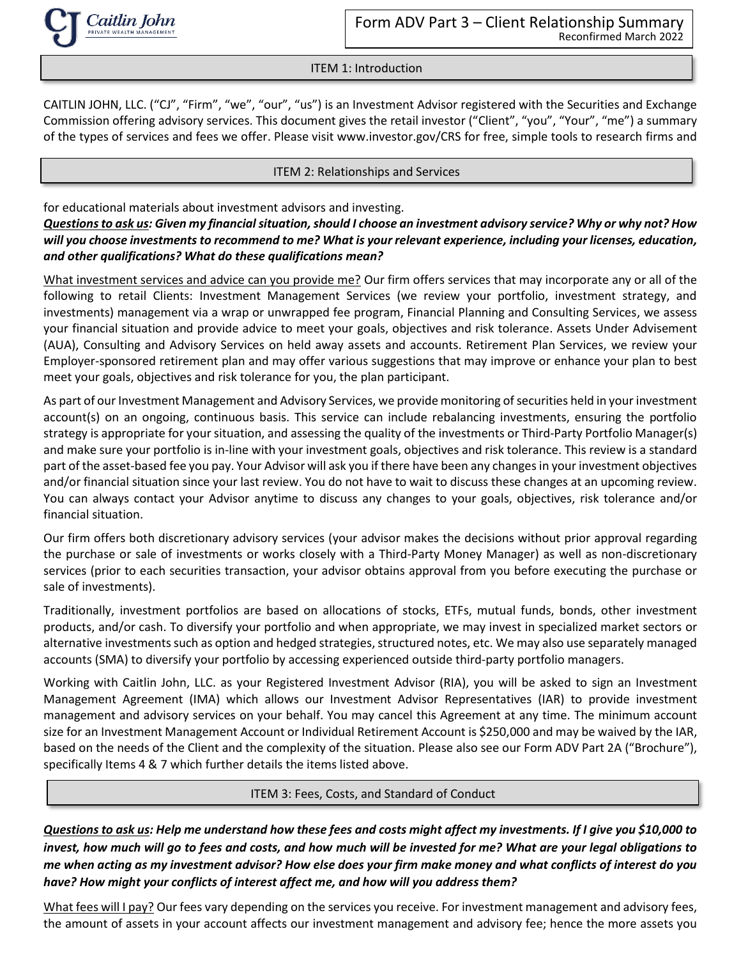

ITEM 1: Introduction

CAITLIN JOHN, LLC. ("CJ", "Firm", "we", "our", "us") is an Investment Advisor registered with the Securities and Exchange Commission offering advisory services. This document gives the retail investor ("Client", "you", "Your", "me") a summary of the types of services and fees we offer. Please visit www.investor.gov/CRS for free, simple tools to research firms and

#### ITEM 2: Relationships and Services

for educational materials about investment advisors and investing.

# *Questions to ask us: Given my financial situation, should I choose an investment advisory service? Why or why not? How will you choose investments to recommend to me? What is your relevant experience, including your licenses, education, and other qualifications? What do these qualifications mean?*

What investment services and advice can you provide me? Our firm offers services that may incorporate any or all of the following to retail Clients: Investment Management Services (we review your portfolio, investment strategy, and investments) management via a wrap or unwrapped fee program, Financial Planning and Consulting Services, we assess your financial situation and provide advice to meet your goals, objectives and risk tolerance. Assets Under Advisement (AUA), Consulting and Advisory Services on held away assets and accounts. Retirement Plan Services, we review your Employer-sponsored retirement plan and may offer various suggestions that may improve or enhance your plan to best meet your goals, objectives and risk tolerance for you, the plan participant.

As part of our Investment Management and Advisory Services, we provide monitoring of securities held in your investment account(s) on an ongoing, continuous basis. This service can include rebalancing investments, ensuring the portfolio strategy is appropriate for your situation, and assessing the quality of the investments or Third-Party Portfolio Manager(s) and make sure your portfolio is in-line with your investment goals, objectives and risk tolerance. This review is a standard part of the asset-based fee you pay. Your Advisor will ask you if there have been any changes in your investment objectives and/or financial situation since your last review. You do not have to wait to discuss these changes at an upcoming review. You can always contact your Advisor anytime to discuss any changes to your goals, objectives, risk tolerance and/or financial situation.

Our firm offers both discretionary advisory services (your advisor makes the decisions without prior approval regarding the purchase or sale of investments or works closely with a Third-Party Money Manager) as well as non-discretionary services (prior to each securities transaction, your advisor obtains approval from you before executing the purchase or sale of investments).

Traditionally, investment portfolios are based on allocations of stocks, ETFs, mutual funds, bonds, other investment products, and/or cash. To diversify your portfolio and when appropriate, we may invest in specialized market sectors or alternative investments such as option and hedged strategies, structured notes, etc. We may also use separately managed accounts (SMA) to diversify your portfolio by accessing experienced outside third-party portfolio managers.

Working with Caitlin John, LLC. as your Registered Investment Advisor (RIA), you will be asked to sign an Investment Management Agreement (IMA) which allows our Investment Advisor Representatives (IAR) to provide investment management and advisory services on your behalf. You may cancel this Agreement at any time. The minimum account size for an Investment Management Account or Individual Retirement Account is \$250,000 and may be waived by the IAR, based on the needs of the Client and the complexity of the situation. Please also see our Form ADV Part 2A ("Brochure"), specifically Items 4 & 7 which further details the items listed above.

ITEM 3: Fees, Costs, and Standard of Conduct

*Questions to ask us: Help me understand how these fees and costs might affect my investments. If I give you \$10,000 to invest, how much will go to fees and costs, and how much will be invested for me? What are your legal obligations to me when acting as my investment advisor? How else does your firm make money and what conflicts of interest do you have? How might your conflicts of interest affect me, and how will you address them?*

What fees will I pay? Our fees vary depending on the services you receive. For investment management and advisory fees, the amount of assets in your account affects our investment management and advisory fee; hence the more assets you